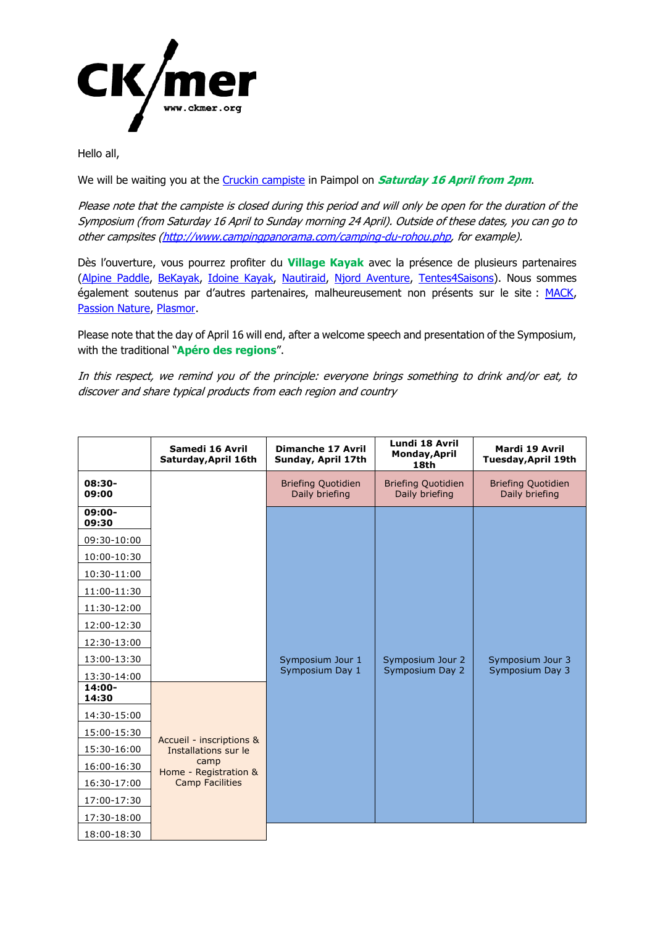

Hello all,

We will be waiting you at the [Cruckin](http://www.camping-paimpol.com/) campiste in Paimpol on **Saturday 16 April from 2pm**.

Please note that the campiste is closed during this period and will only be open for the duration of the Symposium (from Saturday 16 April to Sunday morning 24 April). Outside of these dates, you can go to other campsites [\(http://www.campingpanorama.com/camping-du-rohou.php,](http://www.campingpanorama.com/camping-du-rohou.php) for example).

Dès l'ouverture, vous pourrez profiter du **Village Kayak** avec la présence de plusieurs partenaires [\(Alpine Paddle,](https://alpinepaddle.com/) [BeKayak,](https://www.bekayak.com/) [Idoine Kayak,](https://www.idoine-kayak.fr/) [Nautiraid,](https://nautiraid.com/fr/) [Njord Aventure,](https://www.njord-aventure.fr/fr/) [Tentes4Saisons\)](https://www.tentes4saisons.com/fr/). Nous sommes également soutenus par d'autres partenaires, malheureusement non présents sur le site : [MACK,](https://www.mack-kayak.com/) [Passion Nature,](https://www.passionnature.fr/) [Plasmor.](https://www.plasmor.fr/)

Please note that the day of April 16 will end, after a welcome speech and presentation of the Symposium, with the traditional "**Apéro des regions**".

In this respect, we remind you of the principle: everyone brings something to drink and/or eat, to discover and share typical products from each region and country

|                    | Samedi 16 Avril<br>Saturday, April 16th                                                                     | <b>Dimanche 17 Avril</b><br>Sunday, April 17th | Lundi 18 Avril<br>Monday, April<br>18th     | Mardi 19 Avril<br>Tuesday, April 19th       |
|--------------------|-------------------------------------------------------------------------------------------------------------|------------------------------------------------|---------------------------------------------|---------------------------------------------|
| $08:30-$<br>09:00  |                                                                                                             | <b>Briefing Quotidien</b><br>Daily briefing    | <b>Briefing Quotidien</b><br>Daily briefing | <b>Briefing Quotidien</b><br>Daily briefing |
| $09:00 -$<br>09:30 |                                                                                                             |                                                |                                             |                                             |
| 09:30-10:00        |                                                                                                             |                                                |                                             |                                             |
| 10:00-10:30        |                                                                                                             |                                                |                                             |                                             |
| 10:30-11:00        |                                                                                                             |                                                |                                             |                                             |
| 11:00-11:30        |                                                                                                             |                                                |                                             |                                             |
| 11:30-12:00        |                                                                                                             |                                                |                                             |                                             |
| 12:00-12:30        |                                                                                                             |                                                |                                             |                                             |
| 12:30-13:00        |                                                                                                             |                                                |                                             |                                             |
| 13:00-13:30        |                                                                                                             | Symposium Jour 1                               | Symposium Jour 2                            | Symposium Jour 3                            |
| 13:30-14:00        |                                                                                                             | Symposium Day 1                                | Symposium Day 2                             | Symposium Day 3                             |
| $14:00 -$<br>14:30 |                                                                                                             |                                                |                                             |                                             |
| 14:30-15:00        |                                                                                                             |                                                |                                             |                                             |
| 15:00-15:30        |                                                                                                             |                                                |                                             |                                             |
| 15:30-16:00        | Accueil - inscriptions &<br>Installations sur le<br>camp<br>Home - Registration &<br><b>Camp Facilities</b> |                                                |                                             |                                             |
| 16:00-16:30        |                                                                                                             |                                                |                                             |                                             |
| 16:30-17:00        |                                                                                                             |                                                |                                             |                                             |
| 17:00-17:30        |                                                                                                             |                                                |                                             |                                             |
| 17:30-18:00        |                                                                                                             |                                                |                                             |                                             |
| 18:00-18:30        |                                                                                                             |                                                |                                             |                                             |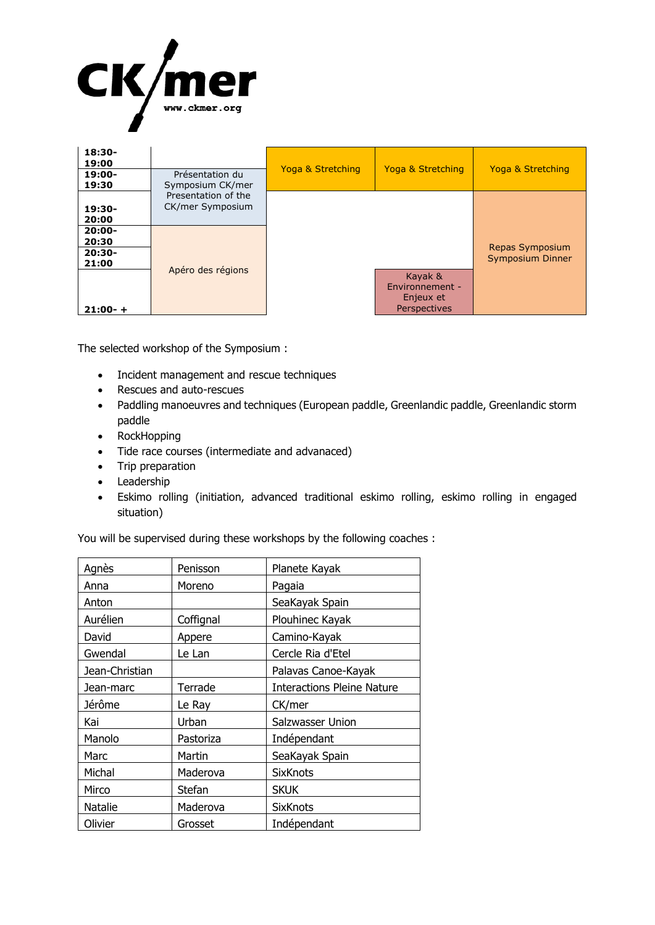

| $18:30-$<br>19:00<br>$19:00-$<br>19:30                | Présentation du<br>Symposium CK/mer     | Yoga & Stretching | Yoga & Stretching                                       | Yoga & Stretching                   |
|-------------------------------------------------------|-----------------------------------------|-------------------|---------------------------------------------------------|-------------------------------------|
| $19:30-$<br>20:00                                     | Presentation of the<br>CK/mer Symposium |                   |                                                         |                                     |
| $20:00-$<br>20:30<br>$20:30-$<br>21:00<br>$21:00 - +$ | Apéro des régions                       |                   | Kayak &<br>Environnement -<br>Enjeux et<br>Perspectives | Repas Symposium<br>Symposium Dinner |

The selected workshop of the Symposium :

- Incident management and rescue techniques
- Rescues and auto-rescues
- Paddling manoeuvres and techniques (European paddle, Greenlandic paddle, Greenlandic storm paddle
- RockHopping
- Tide race courses (intermediate and advanaced)
- Trip preparation
- Leadership
- Eskimo rolling (initiation, advanced traditional eskimo rolling, eskimo rolling in engaged situation)

You will be supervised during these workshops by the following coaches :

| Agnès          | Penisson  | Planete Kayak                     |
|----------------|-----------|-----------------------------------|
| Anna           | Moreno    | Pagaia                            |
| Anton          |           | SeaKayak Spain                    |
| Aurélien       | Coffignal | Plouhinec Kayak                   |
| David          | Appere    | Camino-Kayak                      |
| Gwendal        | Le Lan    | Cercle Ria d'Etel                 |
| Jean-Christian |           | Palavas Canoe-Kayak               |
| Jean-marc      | Terrade   | <b>Interactions Pleine Nature</b> |
| Jérôme         | Le Ray    | CK/mer                            |
| Kai            | Urban     | Salzwasser Union                  |
| Manolo         | Pastoriza | Indépendant                       |
| Marc           | Martin    | SeaKayak Spain                    |
| Michal         | Maderova  | <b>SixKnots</b>                   |
| Mirco          | Stefan    | <b>SKUK</b>                       |
| Natalie        | Maderova  | <b>SixKnots</b>                   |
| Olivier        | Grosset   | Indépendant                       |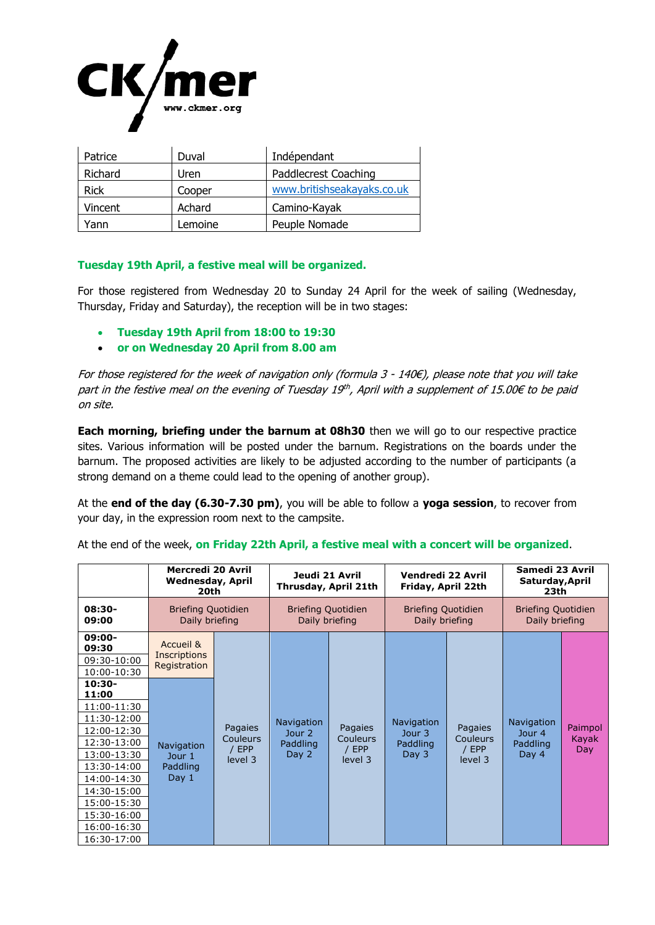

| Patrice     | Duval   | Indépendant                |
|-------------|---------|----------------------------|
| Richard     | Uren    | Paddlecrest Coaching       |
| <b>Rick</b> | Cooper  | www.britishseakayaks.co.uk |
| Vincent     | Achard  | Camino-Kayak               |
| rann)       | Lemoine | Peuple Nomade              |

## **Tuesday 19th April, a festive meal will be organized.**

For those registered from Wednesday 20 to Sunday 24 April for the week of sailing (Wednesday, Thursday, Friday and Saturday), the reception will be in two stages:

- **Tuesday 19th April from 18:00 to 19:30**
- **or on Wednesday 20 April from 8.00 am**

For those registered for the week of navigation only (formula 3 - 140€), please note that you will take part in the festive meal on the evening of Tuesday 19th, April with a supplement of 15.00€ to be paid on site.

**Each morning, briefing under the barnum at 08h30** then we will go to our respective practice sites. Various information will be posted under the barnum. Registrations on the boards under the barnum. The proposed activities are likely to be adjusted according to the number of participants (a strong demand on a theme could lead to the opening of another group).

At the **end of the day (6.30-7.30 pm)**, you will be able to follow a **yoga session**, to recover from your day, in the expression room next to the campsite.

At the end of the week, **on Friday 22th April, a festive meal with a concert will be organized**.

|                                | Mercredi 20 Avril<br><b>Wednesday, April</b><br>20th |                                                  | Jeudi 21 Avril<br>Thrusday, April 21th      |                                                | Vendredi 22 Avril<br>Friday, April 22th                |                                                | Samedi 23 Avril<br>Saturday, April<br>23th       |                         |
|--------------------------------|------------------------------------------------------|--------------------------------------------------|---------------------------------------------|------------------------------------------------|--------------------------------------------------------|------------------------------------------------|--------------------------------------------------|-------------------------|
| $08:30-$<br>09:00              | <b>Briefing Quotidien</b><br>Daily briefing          |                                                  | <b>Briefing Quotidien</b><br>Daily briefing |                                                | <b>Briefing Quotidien</b><br>Daily briefing            |                                                | <b>Briefing Quotidien</b><br>Daily briefing      |                         |
| 09:00-<br>09:30<br>09:30-10:00 | Accueil &<br><b>Inscriptions</b>                     |                                                  |                                             |                                                |                                                        |                                                |                                                  |                         |
| 10:00-10:30                    | Registration                                         |                                                  |                                             |                                                |                                                        |                                                |                                                  |                         |
| $10:30-$<br>11:00              |                                                      |                                                  |                                             |                                                |                                                        |                                                |                                                  |                         |
| 11:00-11:30                    |                                                      | Pagaies<br>Couleurs<br>/ EPP<br>Day 2<br>level 3 | <b>Navigation</b><br>Jour 2<br>Paddling     | Pagaies<br><b>Couleurs</b><br>/ EPP<br>level 3 | Navigation<br>Jour <sub>3</sub><br>Paddling<br>Day $3$ | <b>Pagaies</b><br>Couleurs<br>/ EPP<br>level 3 | <b>Navigation</b><br>Jour 4<br>Paddling<br>Day 4 | Paimpol<br>Kayak<br>Day |
| 11:30-12:00                    |                                                      |                                                  |                                             |                                                |                                                        |                                                |                                                  |                         |
| 12:00-12:30                    |                                                      |                                                  |                                             |                                                |                                                        |                                                |                                                  |                         |
| 12:30-13:00                    | <b>Navigation</b><br>Jour 1<br>Paddling<br>Day 1     |                                                  |                                             |                                                |                                                        |                                                |                                                  |                         |
| 13:00-13:30                    |                                                      |                                                  |                                             |                                                |                                                        |                                                |                                                  |                         |
| 13:30-14:00                    |                                                      |                                                  |                                             |                                                |                                                        |                                                |                                                  |                         |
| 14:00-14:30                    |                                                      |                                                  |                                             |                                                |                                                        |                                                |                                                  |                         |
| 14:30-15:00                    |                                                      |                                                  |                                             |                                                |                                                        |                                                |                                                  |                         |
| 15:00-15:30                    |                                                      |                                                  |                                             |                                                |                                                        |                                                |                                                  |                         |
| 15:30-16:00                    |                                                      |                                                  |                                             |                                                |                                                        |                                                |                                                  |                         |
| 16:00-16:30<br>16:30-17:00     |                                                      |                                                  |                                             |                                                |                                                        |                                                |                                                  |                         |